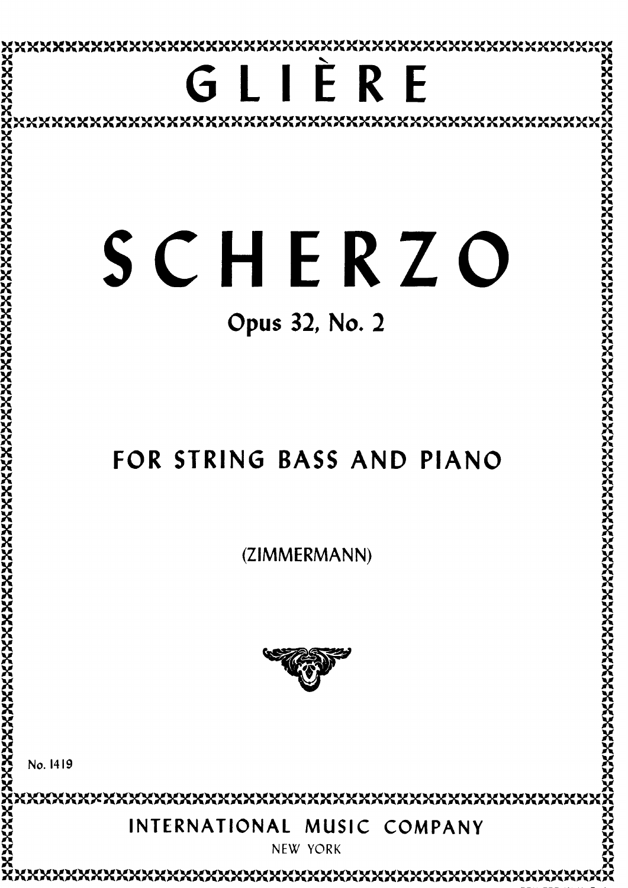# SCHERZO

GLIÈRE

# Opus 32, No. 2

# FOR STRING BASS AND PIANO

(ZIMMERMANN)



| No. 1419 |  |
|----------|--|
|----------|--|

XXXXXXXXXXXXXXXX

### MUSIC COMPANY INTERNATIONAL

NEW YORK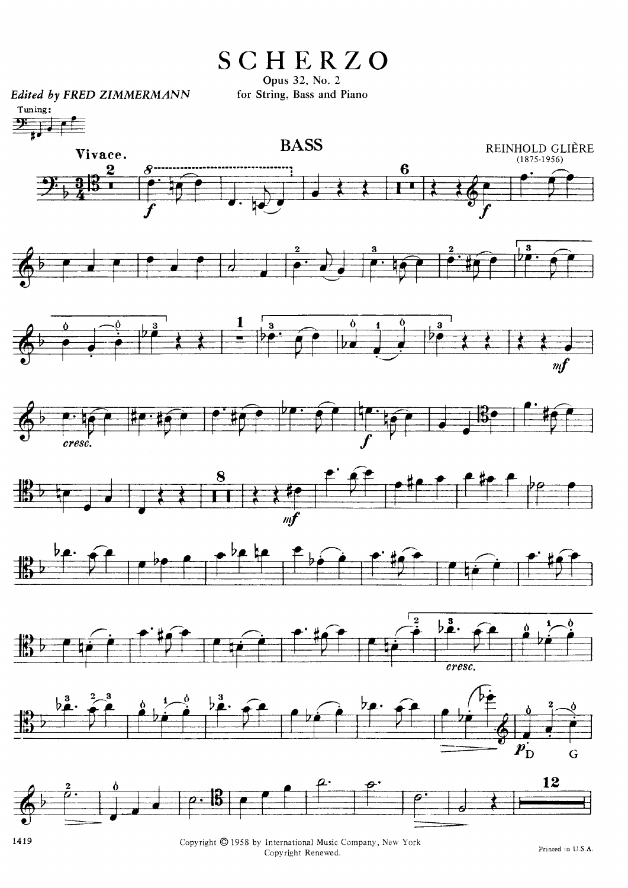# **SCHERZO**

Opus 32, No. 2 for String, Bass and Piano

Edited by FRED ZIMMERMANN

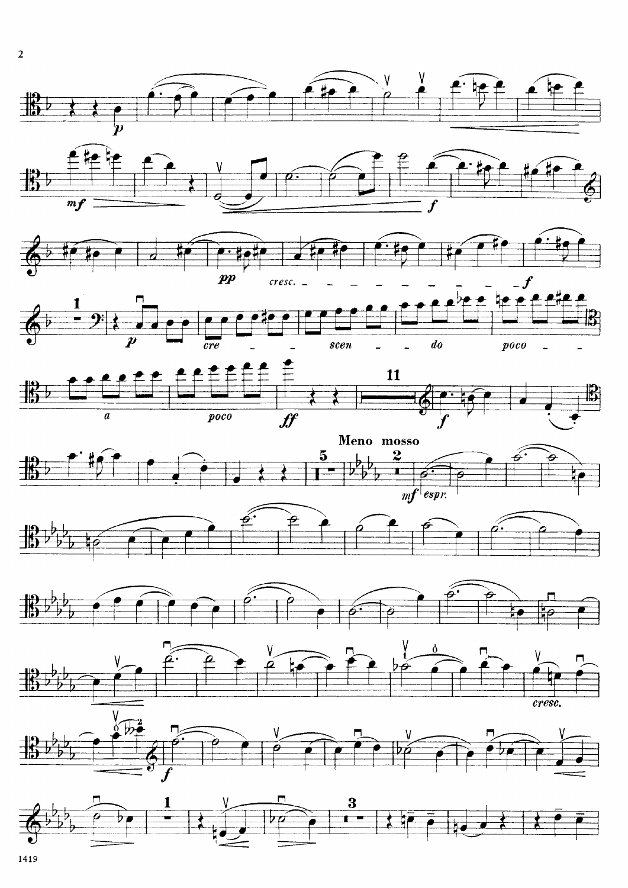

















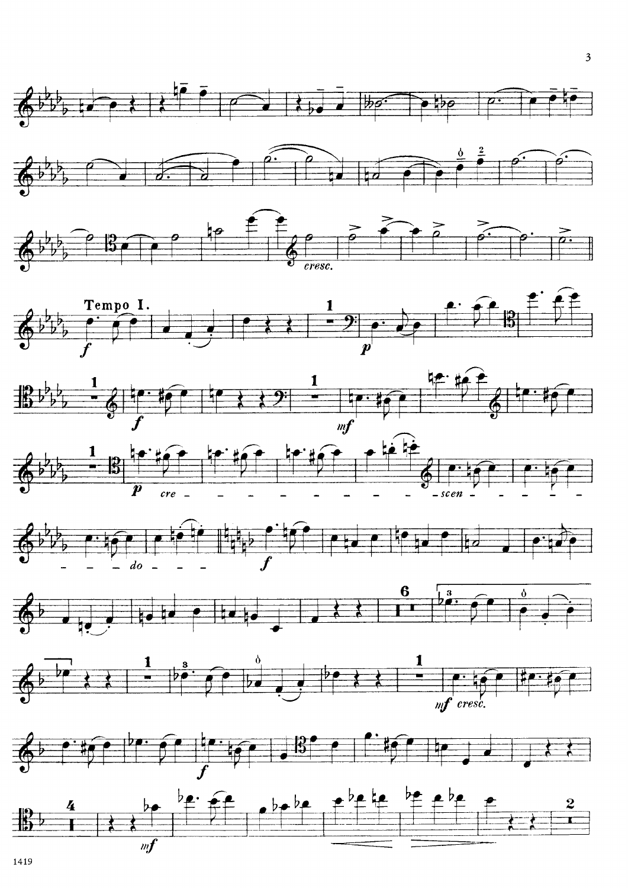

















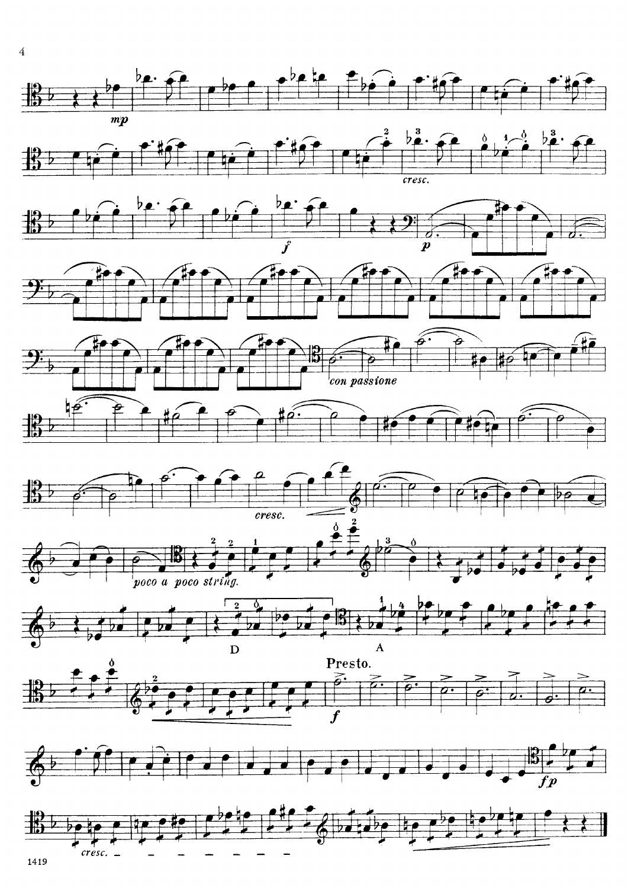

 $\overline{4}$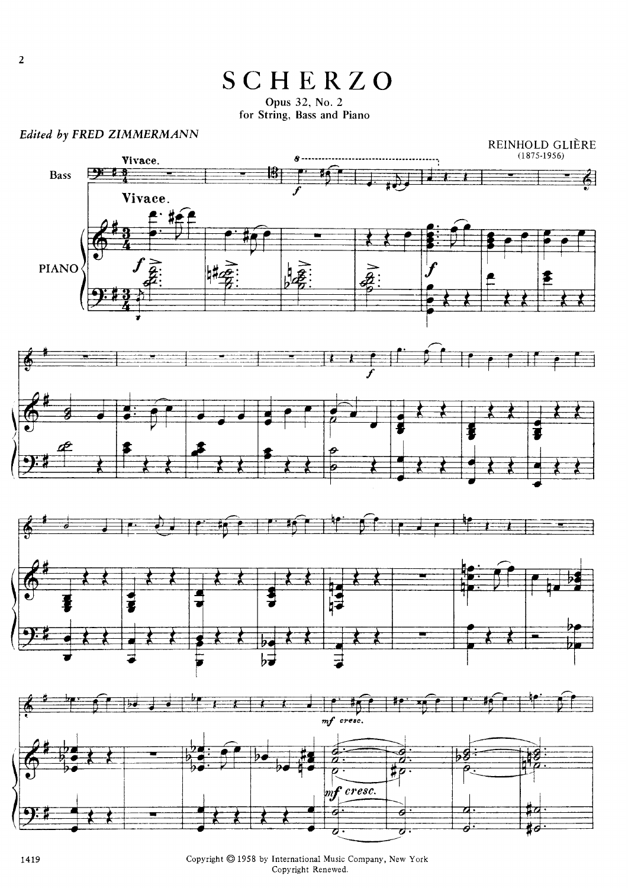## SCHERZO

Opus 32, No. 2<br>for String, Bass and Piano

Edited by FRED ZIMMERMANN



Copyright © 1958 by International Music Company, New York Copyright Renewed.

 $\overline{2}$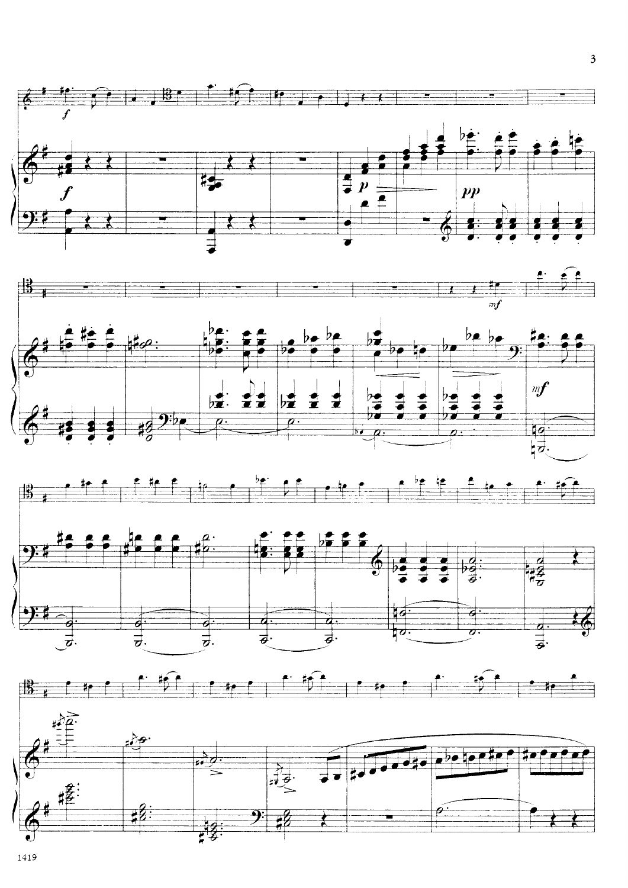

![](_page_6_Figure_1.jpeg)

![](_page_6_Figure_2.jpeg)

![](_page_6_Figure_3.jpeg)

![](_page_6_Figure_4.jpeg)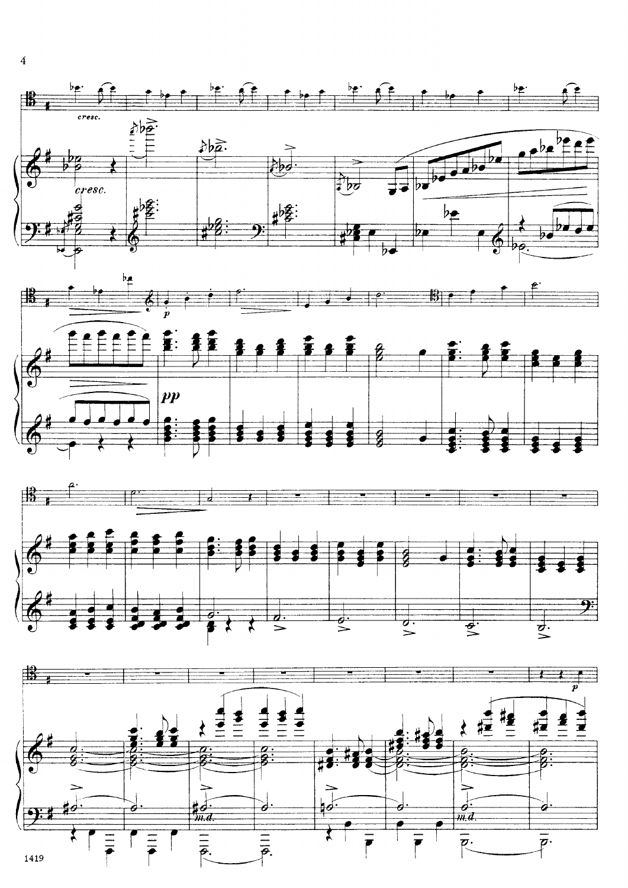![](_page_7_Figure_0.jpeg)

![](_page_7_Figure_1.jpeg)

![](_page_7_Figure_2.jpeg)

![](_page_7_Figure_3.jpeg)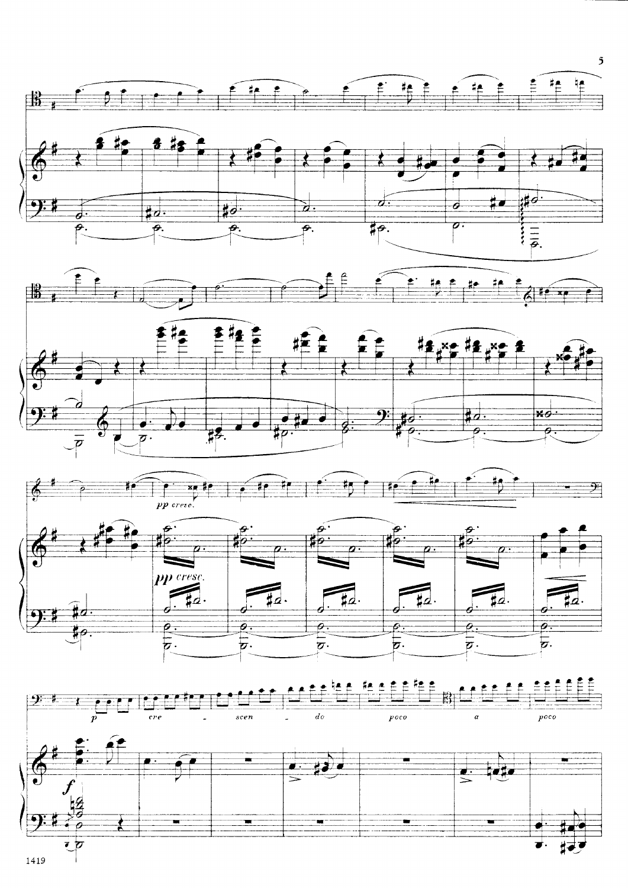![](_page_8_Figure_0.jpeg)

![](_page_8_Figure_1.jpeg)

![](_page_8_Figure_2.jpeg)

![](_page_8_Figure_3.jpeg)

![](_page_8_Figure_4.jpeg)

![](_page_8_Figure_5.jpeg)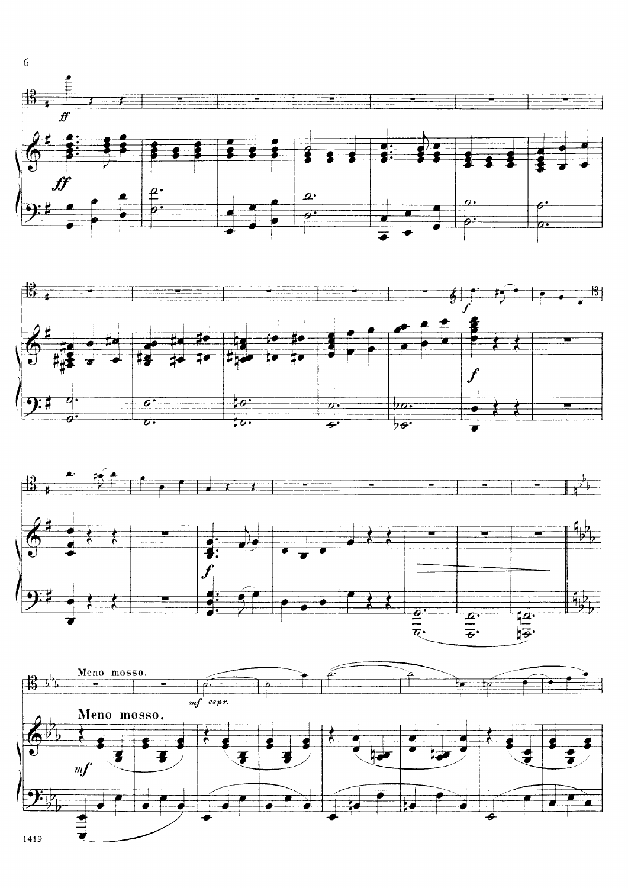![](_page_9_Figure_0.jpeg)

![](_page_9_Figure_1.jpeg)

![](_page_9_Figure_2.jpeg)

![](_page_9_Figure_3.jpeg)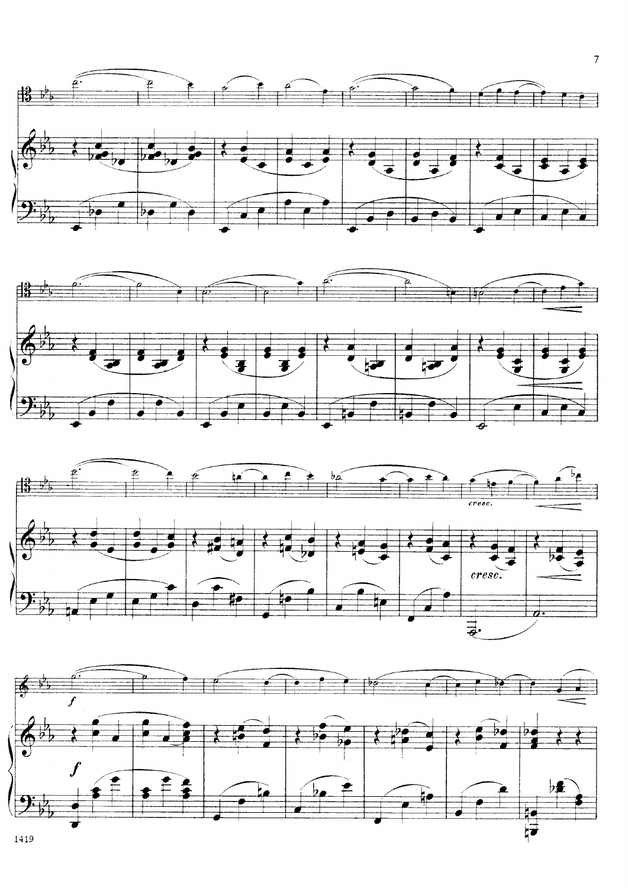![](_page_10_Figure_0.jpeg)

![](_page_10_Figure_1.jpeg)

![](_page_10_Figure_2.jpeg)

![](_page_10_Figure_3.jpeg)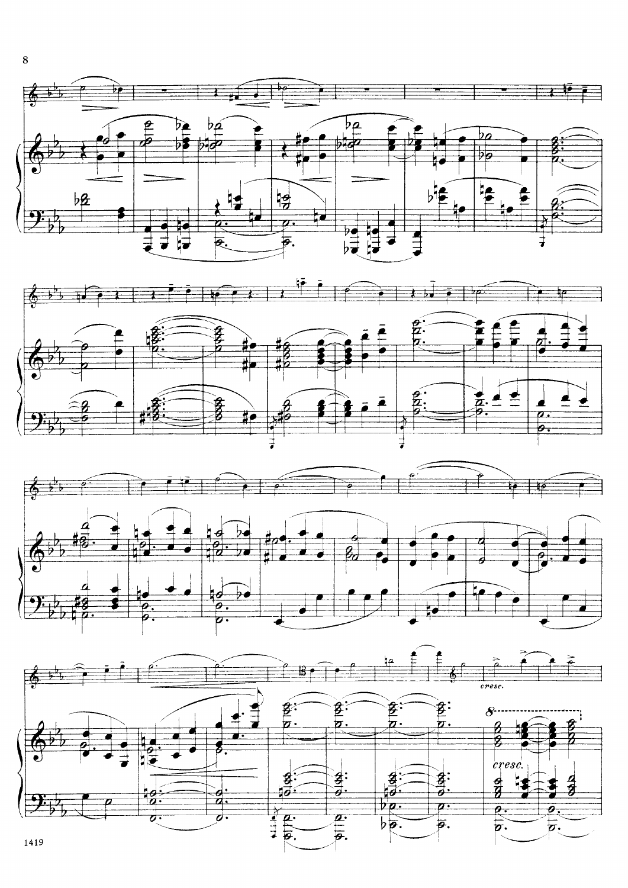![](_page_11_Figure_0.jpeg)

![](_page_11_Figure_1.jpeg)

![](_page_11_Figure_2.jpeg)

![](_page_11_Figure_3.jpeg)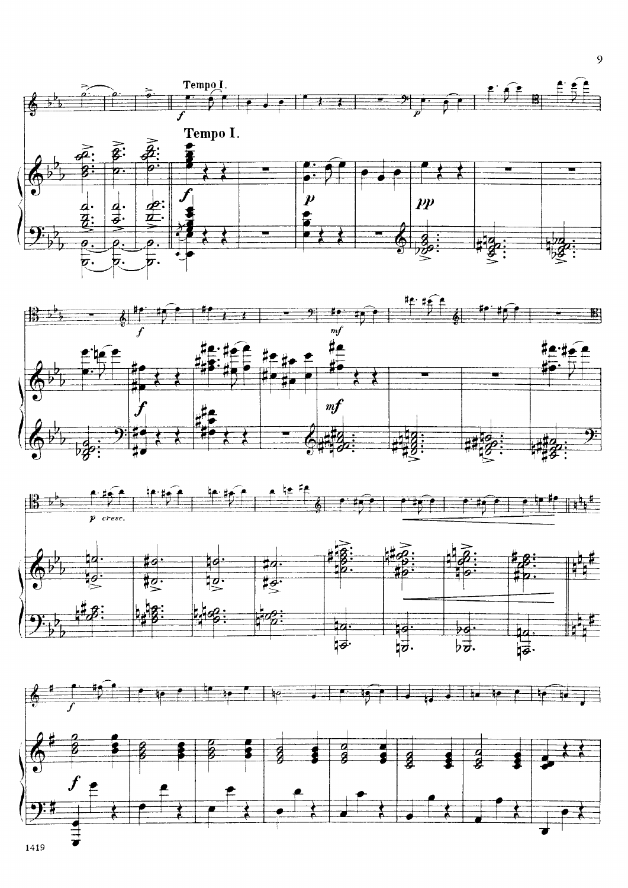![](_page_12_Figure_0.jpeg)

![](_page_12_Figure_1.jpeg)

![](_page_12_Figure_2.jpeg)

![](_page_12_Figure_3.jpeg)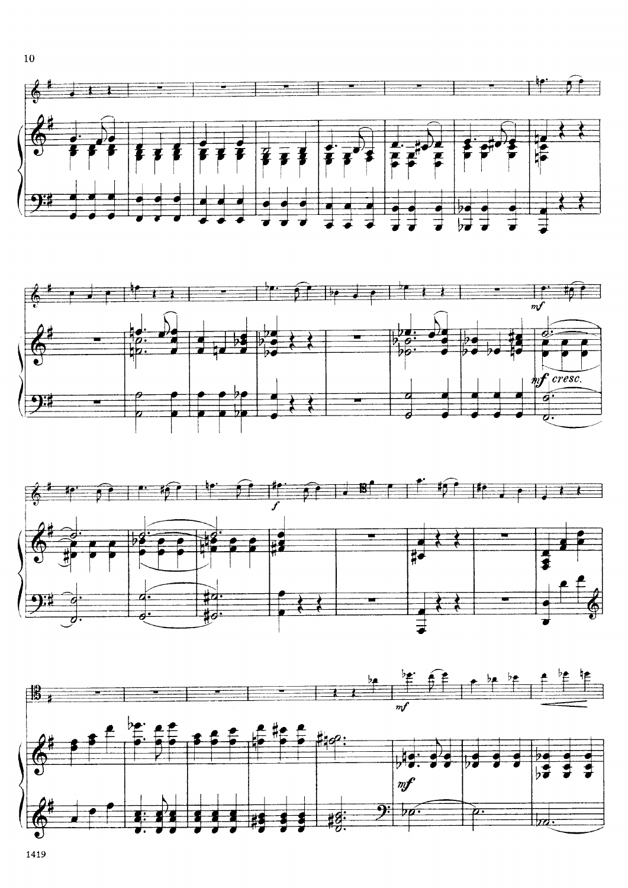![](_page_13_Figure_0.jpeg)

![](_page_13_Figure_1.jpeg)

![](_page_13_Figure_2.jpeg)

![](_page_13_Figure_3.jpeg)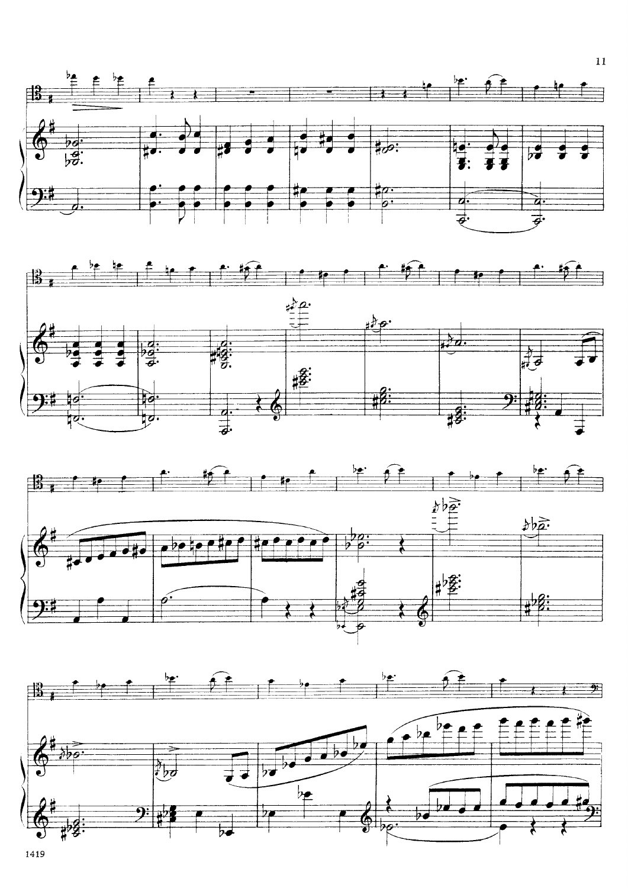![](_page_14_Figure_0.jpeg)

![](_page_14_Figure_1.jpeg)

![](_page_14_Figure_2.jpeg)

![](_page_14_Figure_3.jpeg)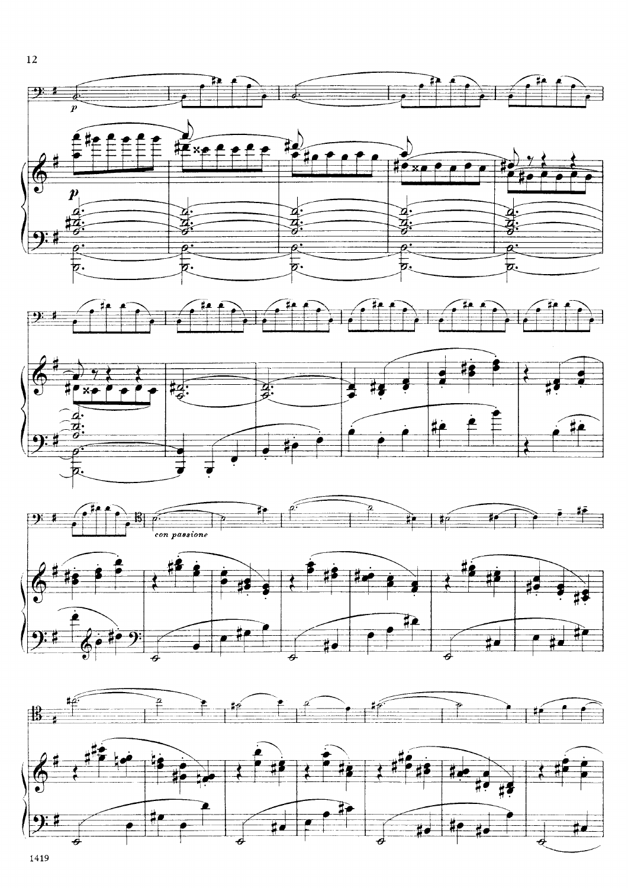![](_page_15_Figure_0.jpeg)

![](_page_15_Figure_1.jpeg)

![](_page_15_Figure_2.jpeg)

![](_page_15_Figure_3.jpeg)

![](_page_15_Figure_4.jpeg)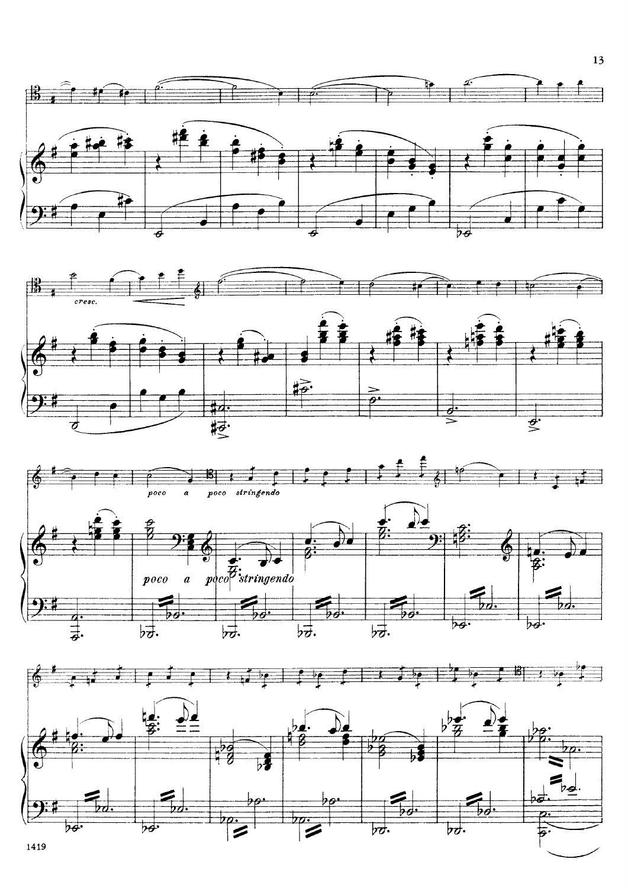![](_page_16_Figure_0.jpeg)

![](_page_16_Figure_1.jpeg)

![](_page_16_Figure_2.jpeg)

![](_page_16_Figure_3.jpeg)